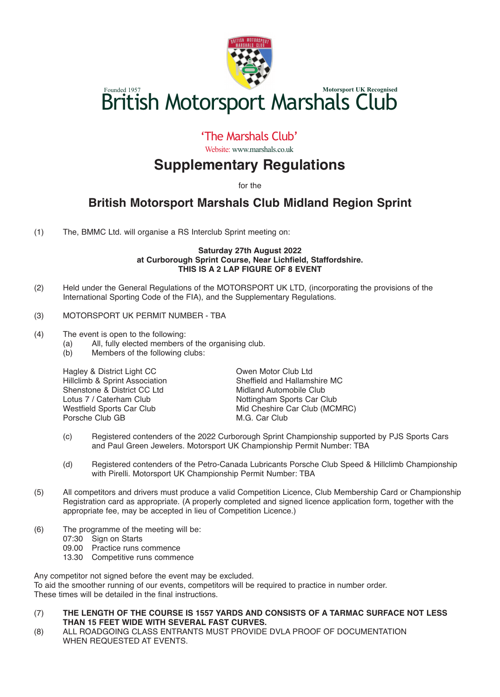

# Founded 1957<br>**British Motorsport Marshals Club**

## 'The Marshals Club'

Website: www.marshals.co.uk

# **Supplementary Regulations**

for the

## **British Motorsport Marshals Club Midland Region Sprint**

(1) The, BMMC Ltd. will organise a RS Interclub Sprint meeting on:

#### **Saturday 27th August 2022 at Curborough Sprint Course, Near Lichfield, Staffordshire. THIS IS A 2 LAP FIGURE OF 8 EVENT**

- (2) Held under the General Regulations of the MOTORSPORT UK LTD, (incorporating the provisions of the International Sporting Code of the FIA), and the Supplementary Regulations.
- (3) MOTORSPORT UK PERMIT NUMBER TBA
- (4) The event is open to the following:
	- (a) All, fully elected members of the organising club.<br>(b) Members of the following clubs:
	- Members of the following clubs:

Hillclimb & Sprint Association<br>
Shenstone & District CC Ltd
Shenstone & District CC Ltd
Shenstone & District CC Ltd
Shenstone & District CC Ltd
Shenstone & District CC Ltd
Shenstone & District CC Ltd
Shenstone & District C Shenstone & District CC Ltd<br>Lotus 7 / Caterham Club Lotus 7 / Caterham Club **Nottingham Sports Car Club**<br>
Westfield Sports Car Club **Note All All Cheshire Car Club** (MCN Porsche Club GB

Hagley & District Light CC **Canadian Communist Communist Communist Clu**b Ltd<br>
Hillclimb & Sprint Association **Communist Club Sheffield and Hallamshire MC** Mid Cheshire Car Club (MCMRC)<br>M.G. Car Club

- (c) Registered contenders of the 2022 Curborough Sprint Championship supported by PJS Sports Cars and Paul Green Jewelers. Motorsport UK Championship Permit Number: TBA
- (d) Registered contenders of the Petro-Canada Lubricants Porsche Club Speed & Hillclimb Championship with Pirelli. Motorsport UK Championship Permit Number: TBA
- (5) All competitors and drivers must produce a valid Competition Licence, Club Membership Card or Championship Registration card as appropriate. (A properly completed and signed licence application form, together with the appropriate fee, may be accepted in lieu of Competition Licence.)
- (6) The programme of the meeting will be:
	- 07:30 Sign on Starts
	- 09.00 Practice runs commence
	- 13.30 Competitive runs commence

Any competitor not signed before the event may be excluded. To aid the smoother running of our events, competitors will be required to practice in number order. These times will be detailed in the final instructions.

- (7) **THE LENGTH OF THE COURSE IS 1557 YARDS AND CONSISTS OF A TARMAC SURFACE NOT LESS THAN 15 FEET WIDE WITH SEVERAL FAST CURVES.**
- (8) ALL ROADGOING CLASS ENTRANTS MUST PROVIDE DVLA PROOF OF DOCUMENTATION WHEN REQUESTED AT EVENTS.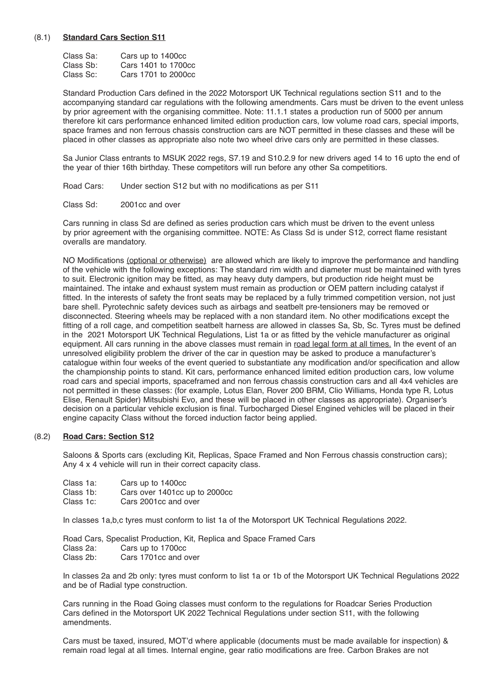#### (8.1) **Standard Cars Section S11**

| Class Sa: | Cars up to 1400cc   |
|-----------|---------------------|
| Class Sb: | Cars 1401 to 1700cc |
| Class Sc: | Cars 1701 to 2000cc |

Standard Production Cars defined in the 2022 Motorsport UK Technical regulations section S11 and to the accompanying standard car regulations with the following amendments. Cars must be driven to the event unless by prior agreement with the organising committee. Note: 11.1.1 states a production run of 5000 per annum therefore kit cars performance enhanced limited edition production cars, low volume road cars, special imports, space frames and non ferrous chassis construction cars are NOT permitted in these classes and these will be placed in other classes as appropriate also note two wheel drive cars only are permitted in these classes.

Sa Junior Class entrants to MSUK 2022 regs, S7.19 and S10.2.9 for new drivers aged 14 to 16 upto the end of the year of thier 16th birthday. These competitors will run before any other Sa competitiors.

Road Cars: Under section S12 but with no modifications as per S11

Class Sd: 2001cc and over

Cars running in class Sd are defined as series production cars which must be driven to the event unless by prior agreement with the organising committee. NOTE: As Class Sd is under S12, correct flame resistant overalls are mandatory.

NO Modifications (optional or otherwise) are allowed which are likely to improve the performance and handling of the vehicle with the following exceptions: The standard rim width and diameter must be maintained with tyres to suit. Electronic ignition may be fitted, as may heavy duty dampers, but production ride height must be maintained. The intake and exhaust system must remain as production or OEM pattern including catalyst if fitted. In the interests of safety the front seats may be replaced by a fully trimmed competition version, not just bare shell. Pyrotechnic safety devices such as airbags and seatbelt pre-tensioners may be removed or disconnected. Steering wheels may be replaced with a non standard item. No other modifications except the fitting of a roll cage, and competition seatbelt harness are allowed in classes Sa, Sb, Sc. Tyres must be defined in the 2021 Motorsport UK Technical Regulations, List 1a or as fitted by the vehicle manufacturer as original equipment. All cars running in the above classes must remain in road legal form at all times. In the event of an unresolved eligibility problem the driver of the car in question may be asked to produce a manufacturer's catalogue within four weeks of the event queried to substantiate any modification and/or specification and allow the championship points to stand. Kit cars, performance enhanced limited edition production cars, low volume road cars and special imports, spaceframed and non ferrous chassis construction cars and all 4x4 vehicles are not permitted in these classes: (for example, Lotus Elan, Rover 200 BRM, Clio Williams, Honda type R, Lotus Elise, Renault Spider) Mitsubishi Evo, and these will be placed in other classes as appropriate). Organiser's decision on a particular vehicle exclusion is final. Turbocharged Diesel Engined vehicles will be placed in their engine capacity Class without the forced induction factor being applied.

#### (8.2) **Road Cars: Section S12**

Saloons & Sports cars (excluding Kit, Replicas, Space Framed and Non Ferrous chassis construction cars); Any 4 x 4 vehicle will run in their correct capacity class.

- Class 1a: Cars up to 1400cc<br>Class 1b: Cars over 1401cc u
- Class 1b: Cars over 1401cc up to 2000cc<br>Class 1c: Cars 2001cc and over
- Cars 2001cc and over

In classes 1a,b,c tyres must conform to list 1a of the Motorsport UK Technical Regulations 2022.

Road Cars, Specalist Production, Kit, Replica and Space Framed Cars<br>Class 2a: Cars up to 1700cc Class 2a: Cars up to 1700cc<br>Class 2b: Cars 1701cc and o Cars 1701cc and over

In classes 2a and 2b only: tyres must conform to list 1a or 1b of the Motorsport UK Technical Regulations 2022 and be of Radial type construction.

Cars running in the Road Going classes must conform to the regulations for Roadcar Series Production Cars defined in the Motorsport UK 2022 Technical Regulations under section S11, with the following amendments.

Cars must be taxed, insured, MOT'd where applicable (documents must be made available for inspection) & remain road legal at all times. Internal engine, gear ratio modifications are free. Carbon Brakes are not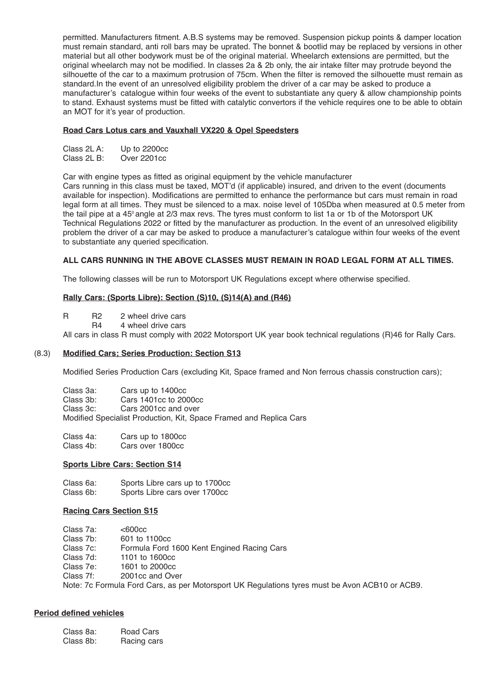permitted. Manufacturers fitment. A.B.S systems may be removed. Suspension pickup points & damper location must remain standard, anti roll bars may be uprated. The bonnet & bootlid may be replaced by versions in other material but all other bodywork must be of the original material. Wheelarch extensions are permitted, but the original wheelarch may not be modified. In classes 2a & 2b only, the air intake filter may protrude beyond the silhouette of the car to a maximum protrusion of 75cm. When the filter is removed the silhouette must remain as standard.In the event of an unresolved eligibility problem the driver of a car may be asked to produce a manufacturer's catalogue within four weeks of the event to substantiate any query & allow championship points to stand. Exhaust systems must be fitted with catalytic convertors if the vehicle requires one to be able to obtain an MOT for it's year of production.

#### **Road Cars Lotus cars and Vauxhall VX220 & Opel Speedsters**

| Class 2L A:          | Up to 2200cc                |
|----------------------|-----------------------------|
| $\sim$ $\sim$ $\sim$ | $\sim$ $\sim$ $\sim$ $\sim$ |

Class 2L B: Over 2201cc

Car with engine types as fitted as original equipment by the vehicle manufacturer

Cars running in this class must be taxed, MOT'd (if applicable) insured, and driven to the event (documents available for inspection). Modifications are permitted to enhance the performance but cars must remain in road legal form at all times. They must be silenced to a max. noise level of 105Dba when measured at 0.5 meter from the tail pipe at a 45<sup>°</sup> angle at 2/3 max revs. The tyres must conform to list 1a or 1b of the Motorsport UK Technical Regulations 2022 or fitted by the manufacturer as production. In the event of an unresolved eligibility problem the driver of a car may be asked to produce a manufacturer's catalogue within four weeks of the event to substantiate any queried specification.

#### **ALL CARS RUNNING IN THE ABOVE CLASSES MUST REMAIN IN ROAD LEGAL FORM AT ALL TIMES.**

The following classes will be run to Motorsport UK Regulations except where otherwise specified.

#### **Rally Cars: (Sports Libre): Section (S)10, (S)14(A) and (R46)**

R R2 2 wheel drive cars<br>R4 4 wheel drive cars

4 wheel drive cars

All cars in class R must comply with 2022 Motorsport UK year book technical regulations (R)46 for Rally Cars.

#### (8.3) **Modified Cars; Series Production: Section S13**

Modified Series Production Cars (excluding Kit, Space framed and Non ferrous chassis construction cars);

| Class 3a: | Cars up to 1400cc                                                  |
|-----------|--------------------------------------------------------------------|
| Class 3b: | Cars 1401cc to 2000cc                                              |
| Class 3c: | Cars 2001cc and over                                               |
|           | Modified Specialist Production, Kit, Space Framed and Replica Cars |

Class 4a: Cars up to 1800cc Cars over 1800cc

#### **Sports Libre Cars: Section S14**

Class 6a: Sports Libre cars up to 1700cc Sports Libre cars over 1700cc

#### **Racing Cars Section S15**

| Class 7a: | $<$ 600 $<$ c                              |
|-----------|--------------------------------------------|
| Class 7b: | 601 to 1100cc                              |
| Class 7c: | Formula Ford 1600 Kent Engined Racing Cars |
| Class 7d: | 1101 to 1600cc                             |
| Class 7e: | 1601 to 2000cc                             |
| Class 7f: | 2001cc and Over                            |
| .         | $\cdots$                                   |

Note: 7c Formula Ford Cars, as per Motorsport UK Regulations tyres must be Avon ACB10 or ACB9.

#### **Period defined vehicles**

| Class 8a: | Road Cars   |
|-----------|-------------|
| Class 8b: | Racing cars |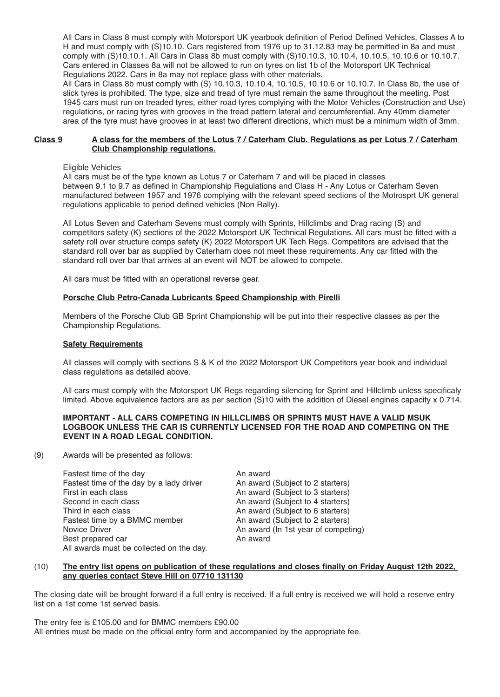All Cars in Class 8 must comply with Motorsport UK yearbook definition of Period Defined Vehicles, Classes A to H and must comply with (S)10.10. Cars registered from 1976 up to 31.12.83 may be permitted in 8a and must comply with (S)10.10.1. All Cars in Class 8b must comply with (S)10.10.3, 10.10.4, 10.10.5, 10.10.6 or 10.10.7. Cars entered in Classes 8a will not be allowed to run on tyres on list 1b of the Motorsport UK Technical Regulations 2022. Cars in 8a may not replace glass with other materials.

All Cars in Class 8b must comply with (S) 10.10.3, 10.10.4, 10.10.5, 10.10.6 or 10.10.7. In Class 8b, the use of slick tyres is prohibited. The type, size and tread of tyre must remain the same throughout the meeting. Post 1945 cars must run on treaded tyres, either road tyres complying with the Motor Vehicles (Construction and Use) regulations, or racing tyres with grooves in the tread pattern lateral and cercumferential. Any 40mm diameter area of the tyre must have grooves in at least two different directions, which must be a minimum width of 3mm.

#### Class 9 A class for the members of the Lotus 7 / Caterham Club. Requiations as per Lotus 7 / Caterham **Club Championship regulations.**

Eligible Vehicles

All cars must be of the type known as Lotus 7 or Caterham 7 and will be placed in classes between 9.1 to 9.7 as defined in Championship Regulations and Class H - Any Lotus or Caterham Seven manufactured between 1957 and 1976 complying with the relevant speed sections of the Motrosprt UK general regulations applicable to period defined vehicles (Non Rally).

All Lotus Seven and Caterham Sevens must comply with Sprints, Hillclimbs and Drag racing (S) and competitors safety (K) sections of the 2022 Motorsport UK Technical Regulations. All cars must be fitted with a safety roll over structure comps safety (K) 2022 Motorsport UK Tech Regs. Competitors are advised that the standard roll over bar as supplied by Caterham does not meet these requirements. Any car fitted with the standard roll over bar that arrives at an event will NOT be allowed to compete.

All cars must be fitted with an operational reverse gear.

#### **Porsche Club Petro-Canada Lubricants Speed Championship with Pirelli**

Members of the Porsche Club GB Sprint Championship will be put into their respective classes as per the Championship Regulations.

#### **Safety Requirements**

All classes will comply with sections S & K of the 2022 Motorsport UK Competitors year book and individual class regulations as detailed above.

All cars must comply with the Motorsport UK Regs regarding silencing for Sprint and Hillclimb unless specificaly limited. Above equivalence factors are as per section (S)10 with the addition of Diesel engines capacity x 0.714.

#### **IMPORTANT - ALL CARS COMPETING IN HILLCLIMBS OR SPRINTS MUST HAVE A VALID MSUK LOGBOOK UNLESS THE CAR IS CURRENTLY LICENSED FOR THE ROAD AND COMPETING ON THE EVENT IN A ROAD LEGAL CONDITION.**

(9) Awards will be presented as follows:

Fastest time of the day<br>Fastest time of the day by a lady driver **An award (Subject to 2 starters)** Fastest time of the day by a lady driver<br>First in each class First in each class The South Communist Communist Communist Communist Communist Communist Communist Communist Communist Communist Communist Communist Communist Communist Communist Communist Communist Communist Communist Co Second in each class and the second in each class and the second in each class and the Subject to 4 starters)<br>
An award (Subject to 6 starters) An award (Subject to 6 starters)<br>An award (Subject to 2 starters) Fastest time by a BMMC member<br>Novice Driver An award (In 1st year of competing)<br>An award Best prepared car All awards must be collected on the day.

#### (10) The entry list opens on publication of these regulations and closes finally on Friday August 12th 2022, **any queries contact Steve Hill on 07710 131130**

The closing date will be brought forward if a full entry is received. If a full entry is received we will hold a reserve entry list on a 1st come 1st served basis.

The entry fee is £105.00 and for BMMC members £90.00 All entries must be made on the official entry form and accompanied by the appropriate fee.